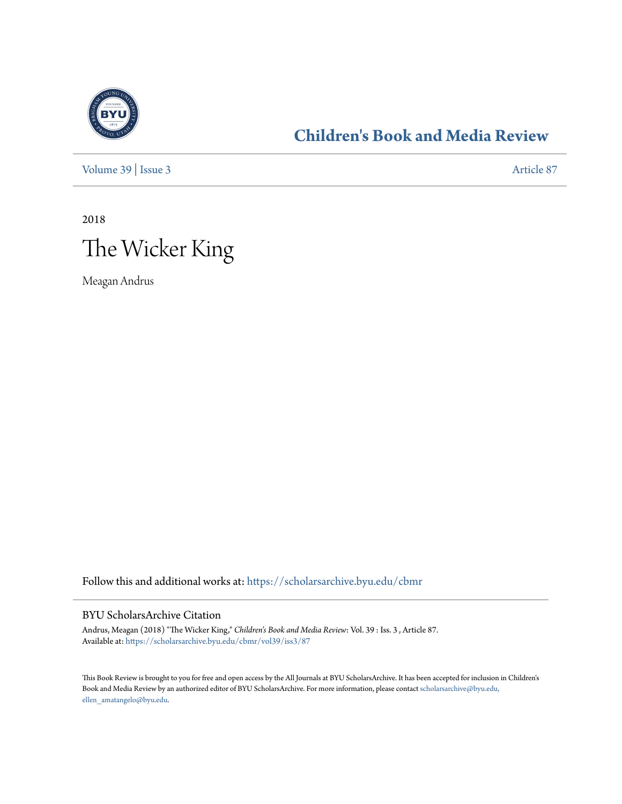

## **[Children's Book and Media Review](https://scholarsarchive.byu.edu/cbmr?utm_source=scholarsarchive.byu.edu%2Fcbmr%2Fvol39%2Fiss3%2F87&utm_medium=PDF&utm_campaign=PDFCoverPages)**

[Volume 39](https://scholarsarchive.byu.edu/cbmr/vol39?utm_source=scholarsarchive.byu.edu%2Fcbmr%2Fvol39%2Fiss3%2F87&utm_medium=PDF&utm_campaign=PDFCoverPages) | [Issue 3](https://scholarsarchive.byu.edu/cbmr/vol39/iss3?utm_source=scholarsarchive.byu.edu%2Fcbmr%2Fvol39%2Fiss3%2F87&utm_medium=PDF&utm_campaign=PDFCoverPages) [Article 87](https://scholarsarchive.byu.edu/cbmr/vol39/iss3/87?utm_source=scholarsarchive.byu.edu%2Fcbmr%2Fvol39%2Fiss3%2F87&utm_medium=PDF&utm_campaign=PDFCoverPages)

2018 The Wicker King

Meagan Andrus

Follow this and additional works at: [https://scholarsarchive.byu.edu/cbmr](https://scholarsarchive.byu.edu/cbmr?utm_source=scholarsarchive.byu.edu%2Fcbmr%2Fvol39%2Fiss3%2F87&utm_medium=PDF&utm_campaign=PDFCoverPages)

#### BYU ScholarsArchive Citation

Andrus, Meagan (2018) "The Wicker King," *Children's Book and Media Review*: Vol. 39 : Iss. 3 , Article 87. Available at: [https://scholarsarchive.byu.edu/cbmr/vol39/iss3/87](https://scholarsarchive.byu.edu/cbmr/vol39/iss3/87?utm_source=scholarsarchive.byu.edu%2Fcbmr%2Fvol39%2Fiss3%2F87&utm_medium=PDF&utm_campaign=PDFCoverPages)

This Book Review is brought to you for free and open access by the All Journals at BYU ScholarsArchive. It has been accepted for inclusion in Children's Book and Media Review by an authorized editor of BYU ScholarsArchive. For more information, please contact [scholarsarchive@byu.edu,](mailto:scholarsarchive@byu.edu,%20ellen_amatangelo@byu.edu) [ellen\\_amatangelo@byu.edu.](mailto:scholarsarchive@byu.edu,%20ellen_amatangelo@byu.edu)